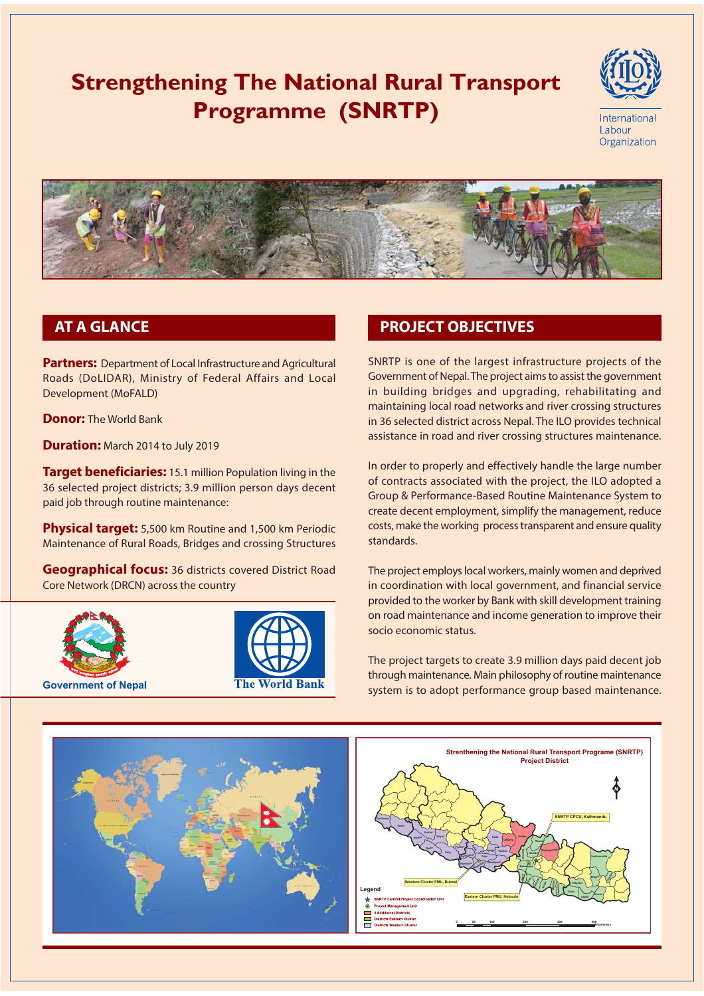# **Strengthening The National Rural Transport Programme (SNRTP)**





## **AT A GLANCE**

**Partners:** Department of Local Infrastructure and Agricultural Roads (DoLIDAR), Ministry of Federal Affairs and Local Development (MoFALD)

**Donor:** The World Bank

**Duration:** March 2014 to July 2019

Target beneficiaries: 15.1 million Population living in the 36 selected project districts; 3.9 million person days decent paid job through routine maintenance:

Physical target: 5,500 km Routine and 1,500 km Periodic Maintenance of Rural Roads, Bridges and crossing Structures

**Geographical focus:** 36 districts covered District Road Core Network (DRCN) across the country





### **PROJECT OBJECTIVES**

SNRTP is one of the largest infrastructure projects of the Government of Nepal. The project aims to assist the government in building bridges and upgrading, rehabilitating and maintaining local road networks and river crossing structures in 36 selected district across Nepal. The ILO provides technical assistance in road and river crossing structures maintenance.

In order to properly and effectively handle the large number of contracts associated with the project, the ILO adopted a Group & Performance-Based Routine Maintenance System to create decent employment, simplify the management, reduce costs, make the working process transparent and ensure quality standards.

The project employs local workers, mainly women and deprived in coordination with local government, and financial service provided to the worker by Bank with skill development training on road maintenance and income generation to improve their socio economic status.

The project targets to create 3.9 million days paid decent job through maintenance. Main philosophy of routine maintenance system is to adopt performance group based maintenance.